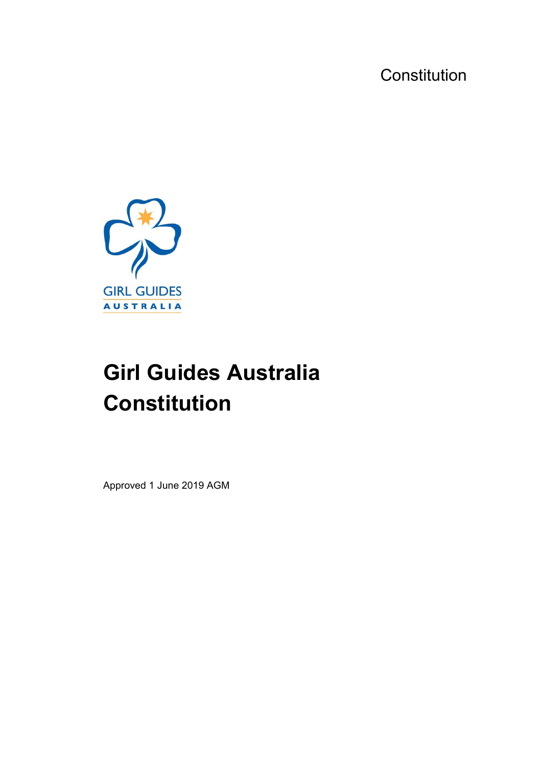**Constitution** 



# **Girl Guides Australia Constitution**

Approved 1 June 2019 AGM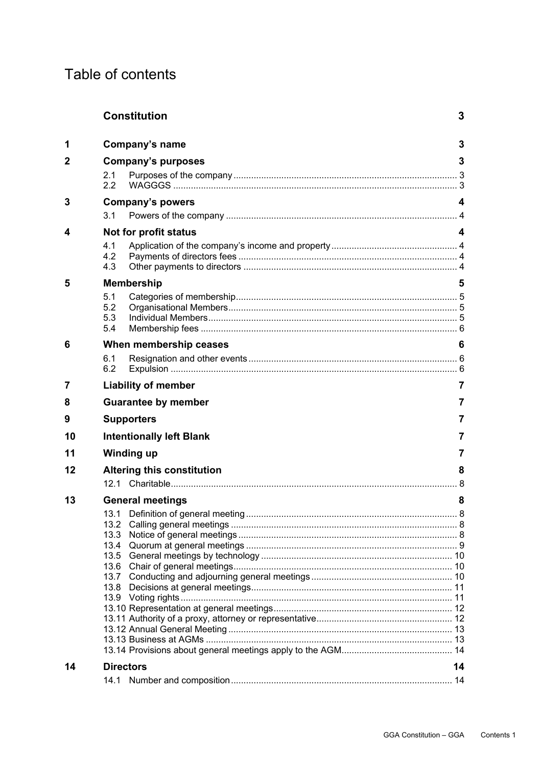# Table of contents

|    | <b>Constitution</b><br>3             |     |  |  |
|----|--------------------------------------|-----|--|--|
| 1  | Company's name                       | 3   |  |  |
| 2  | <b>Company's purposes</b>            | 3   |  |  |
|    | 2.1                                  |     |  |  |
|    | 2.2                                  |     |  |  |
| 3  | <b>Company's powers</b>              | 4   |  |  |
|    | 3.1                                  |     |  |  |
|    |                                      |     |  |  |
| 4  | Not for profit status                | 4   |  |  |
|    | 4.1                                  |     |  |  |
|    | 4.2                                  |     |  |  |
|    | 4.3                                  |     |  |  |
| 5  | <b>Membership</b>                    | 5   |  |  |
|    | 5.1                                  |     |  |  |
|    | 5.2                                  |     |  |  |
|    | 5.3<br>5.4                           |     |  |  |
|    |                                      |     |  |  |
| 6  | When membership ceases               | 6   |  |  |
|    | 6.1                                  | 7   |  |  |
|    | 6.2                                  |     |  |  |
| 7  | <b>Liability of member</b>           |     |  |  |
| 8  | <b>Guarantee by member</b>           | 7   |  |  |
| 9  | <b>Supporters</b>                    | 7   |  |  |
| 10 | <b>Intentionally left Blank</b><br>7 |     |  |  |
| 11 | <b>Winding up</b>                    |     |  |  |
| 12 | <b>Altering this constitution</b>    | 8   |  |  |
|    |                                      | . 8 |  |  |
| 13 | <b>General meetings</b>              | 8   |  |  |
|    |                                      |     |  |  |
|    | 13.1 Definition of general meeting   | 8   |  |  |
|    | 13.3                                 |     |  |  |
|    |                                      |     |  |  |
|    |                                      |     |  |  |
|    |                                      |     |  |  |
|    |                                      |     |  |  |
|    |                                      |     |  |  |
|    |                                      |     |  |  |
|    |                                      |     |  |  |
|    |                                      |     |  |  |
|    |                                      |     |  |  |
|    |                                      |     |  |  |
| 14 | <b>Directors</b>                     | 14  |  |  |
|    |                                      |     |  |  |
|    |                                      |     |  |  |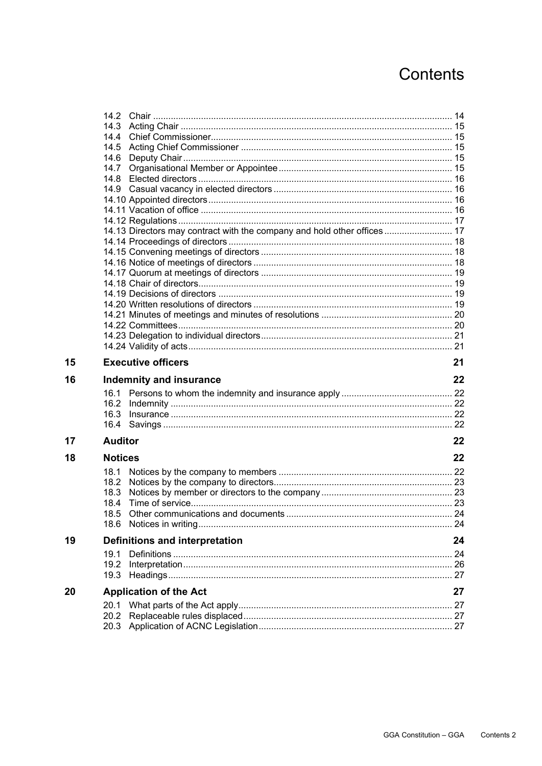# Contents

| 14.13 Directors may contract with the company and hold other offices  17 |
|--------------------------------------------------------------------------|
|                                                                          |
|                                                                          |
|                                                                          |
|                                                                          |
|                                                                          |
|                                                                          |
|                                                                          |
|                                                                          |
|                                                                          |
|                                                                          |
| 21                                                                       |
|                                                                          |
| 22                                                                       |
|                                                                          |
|                                                                          |
|                                                                          |
|                                                                          |
|                                                                          |
| 22                                                                       |
|                                                                          |
| 22                                                                       |
|                                                                          |
|                                                                          |
|                                                                          |
|                                                                          |
|                                                                          |
|                                                                          |
| 24                                                                       |
|                                                                          |
|                                                                          |
|                                                                          |
| 27                                                                       |
|                                                                          |
|                                                                          |
|                                                                          |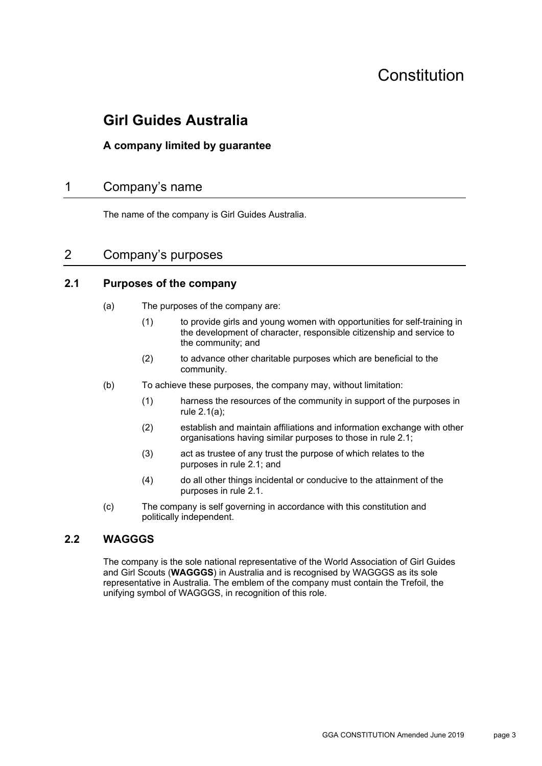# Constitution

# **Girl Guides Australia**

# **A company limited by guarantee**

# 1 Company's name

The name of the company is Girl Guides Australia.

# 2 Company's purposes

#### **2.1 Purposes of the company**

- (a) The purposes of the company are:
	- (1) to provide girls and young women with opportunities for self-training in the development of character, responsible citizenship and service to the community; and
	- (2) to advance other charitable purposes which are beneficial to the community.
- (b) To achieve these purposes, the company may, without limitation:
	- (1) harness the resources of the community in support of the purposes in rule 2.1(a);
	- (2) establish and maintain affiliations and information exchange with other organisations having similar purposes to those in rule 2.1;
	- (3) act as trustee of any trust the purpose of which relates to the purposes in rule 2.1; and
	- (4) do all other things incidental or conducive to the attainment of the purposes in rule 2.1.
- (c) The company is self governing in accordance with this constitution and politically independent.

#### **2.2 WAGGGS**

The company is the sole national representative of the World Association of Girl Guides and Girl Scouts (**WAGGGS**) in Australia and is recognised by WAGGGS as its sole representative in Australia. The emblem of the company must contain the Trefoil, the unifying symbol of WAGGGS, in recognition of this role.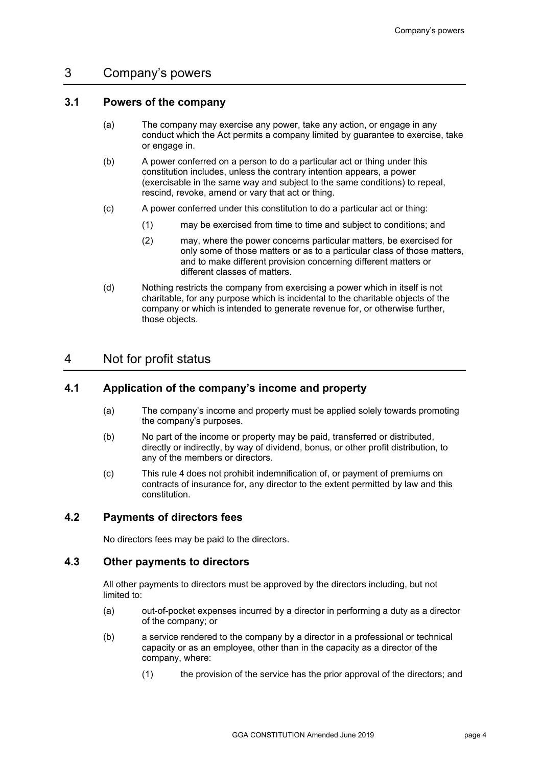### 3 Company's powers

#### **3.1 Powers of the company**

- (a) The company may exercise any power, take any action, or engage in any conduct which the Act permits a company limited by guarantee to exercise, take or engage in.
- (b) A power conferred on a person to do a particular act or thing under this constitution includes, unless the contrary intention appears, a power (exercisable in the same way and subject to the same conditions) to repeal, rescind, revoke, amend or vary that act or thing.
- (c) A power conferred under this constitution to do a particular act or thing:
	- (1) may be exercised from time to time and subject to conditions; and
	- (2) may, where the power concerns particular matters, be exercised for only some of those matters or as to a particular class of those matters, and to make different provision concerning different matters or different classes of matters.
- (d) Nothing restricts the company from exercising a power which in itself is not charitable, for any purpose which is incidental to the charitable objects of the company or which is intended to generate revenue for, or otherwise further, those objects.

# 4 Not for profit status

#### **4.1 Application of the company's income and property**

- (a) The company's income and property must be applied solely towards promoting the company's purposes.
- (b) No part of the income or property may be paid, transferred or distributed, directly or indirectly, by way of dividend, bonus, or other profit distribution, to any of the members or directors.
- (c) This rule 4 does not prohibit indemnification of, or payment of premiums on contracts of insurance for, any director to the extent permitted by law and this constitution.

#### **4.2 Payments of directors fees**

No directors fees may be paid to the directors.

#### **4.3 Other payments to directors**

All other payments to directors must be approved by the directors including, but not limited to:

- (a) out-of-pocket expenses incurred by a director in performing a duty as a director of the company; or
- (b) a service rendered to the company by a director in a professional or technical capacity or as an employee, other than in the capacity as a director of the company, where:
	- (1) the provision of the service has the prior approval of the directors; and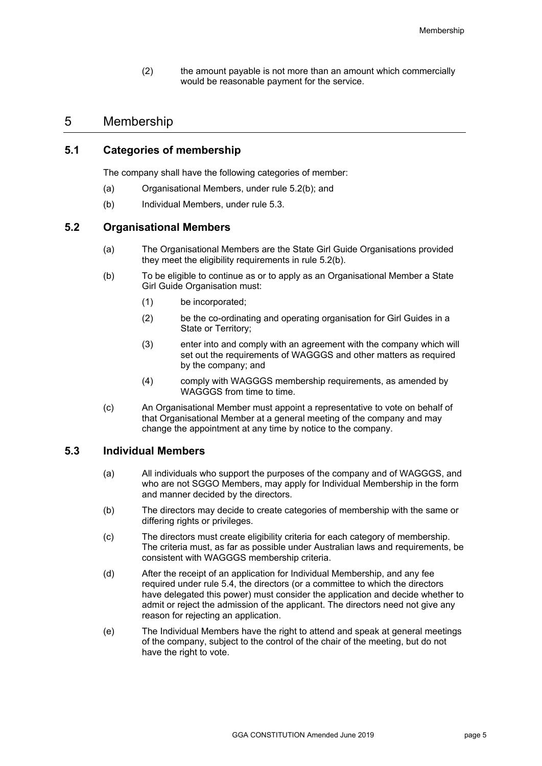(2) the amount payable is not more than an amount which commercially would be reasonable payment for the service.

### 5 Membership

#### **5.1 Categories of membership**

The company shall have the following categories of member:

- (a) Organisational Members, under rule 5.2(b); and
- (b) Individual Members, under rule 5.3.

#### **5.2 Organisational Members**

- (a) The Organisational Members are the State Girl Guide Organisations provided they meet the eligibility requirements in rule 5.2(b).
- (b) To be eligible to continue as or to apply as an Organisational Member a State Girl Guide Organisation must:
	- (1) be incorporated;
	- (2) be the co-ordinating and operating organisation for Girl Guides in a State or Territory;
	- (3) enter into and comply with an agreement with the company which will set out the requirements of WAGGGS and other matters as required by the company; and
	- (4) comply with WAGGGS membership requirements, as amended by WAGGGS from time to time.
- (c) An Organisational Member must appoint a representative to vote on behalf of that Organisational Member at a general meeting of the company and may change the appointment at any time by notice to the company.

#### **5.3 Individual Members**

- (a) All individuals who support the purposes of the company and of WAGGGS, and who are not SGGO Members, may apply for Individual Membership in the form and manner decided by the directors.
- (b) The directors may decide to create categories of membership with the same or differing rights or privileges.
- (c) The directors must create eligibility criteria for each category of membership. The criteria must, as far as possible under Australian laws and requirements, be consistent with WAGGGS membership criteria.
- (d) After the receipt of an application for Individual Membership, and any fee required under rule 5.4, the directors (or a committee to which the directors have delegated this power) must consider the application and decide whether to admit or reject the admission of the applicant. The directors need not give any reason for rejecting an application.
- (e) The Individual Members have the right to attend and speak at general meetings of the company, subject to the control of the chair of the meeting, but do not have the right to vote.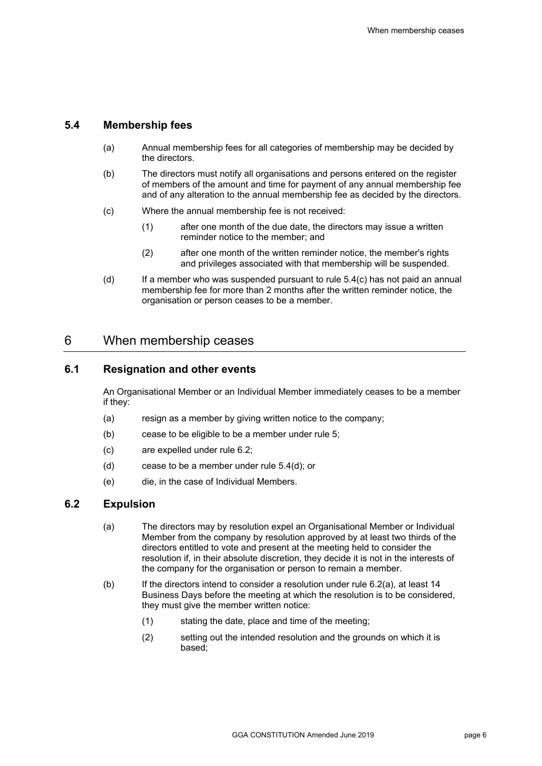## **5.4 Membership fees**

- (a) Annual membership fees for all categories of membership may be decided by the directors.
- (b) The directors must notify all organisations and persons entered on the register of members of the amount and time for payment of any annual membership fee and of any alteration to the annual membership fee as decided by the directors.
- (c) Where the annual membership fee is not received:
	- (1) after one month of the due date, the directors may issue a written reminder notice to the member; and
	- (2) after one month of the written reminder notice, the member's rights and privileges associated with that membership will be suspended.
- (d) If a member who was suspended pursuant to rule 5.4(c) has not paid an annual membership fee for more than 2 months after the written reminder notice, the organisation or person ceases to be a member.

# 6 When membership ceases

#### **6.1 Resignation and other events**

An Organisational Member or an Individual Member immediately ceases to be a member if they:

- (a) resign as a member by giving written notice to the company;
- (b) cease to be eligible to be a member under rule 5;
- (c) are expelled under rule 6.2;
- (d) cease to be a member under rule 5.4(d); or
- (e) die, in the case of Individual Members.

#### **6.2 Expulsion**

- (a) The directors may by resolution expel an Organisational Member or Individual Member from the company by resolution approved by at least two thirds of the directors entitled to vote and present at the meeting held to consider the resolution if, in their absolute discretion, they decide it is not in the interests of the company for the organisation or person to remain a member.
- (b) If the directors intend to consider a resolution under rule 6.2(a), at least 14 Business Days before the meeting at which the resolution is to be considered, they must give the member written notice:
	- (1) stating the date, place and time of the meeting;
	- (2) setting out the intended resolution and the grounds on which it is based;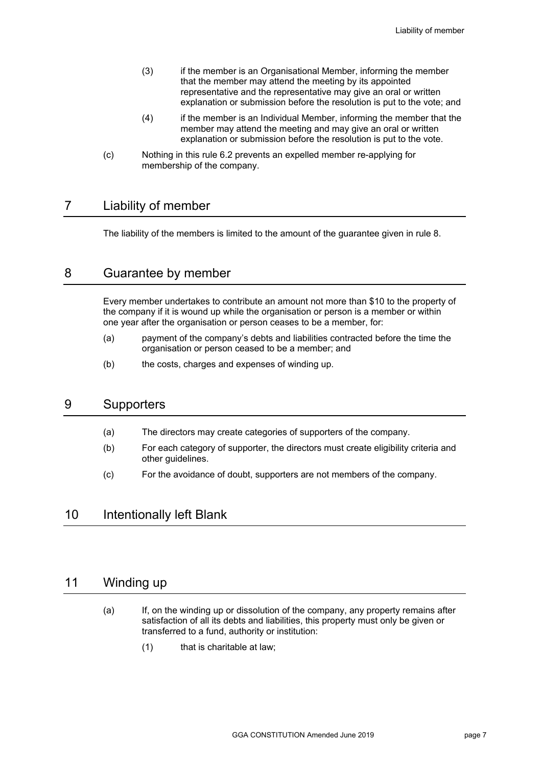- (3) if the member is an Organisational Member, informing the member that the member may attend the meeting by its appointed representative and the representative may give an oral or written explanation or submission before the resolution is put to the vote; and
- (4) if the member is an Individual Member, informing the member that the member may attend the meeting and may give an oral or written explanation or submission before the resolution is put to the vote.
- (c) Nothing in this rule 6.2 prevents an expelled member re-applying for membership of the company.

# 7 Liability of member

The liability of the members is limited to the amount of the guarantee given in rule 8.

# 8 Guarantee by member

Every member undertakes to contribute an amount not more than \$10 to the property of the company if it is wound up while the organisation or person is a member or within one year after the organisation or person ceases to be a member, for:

- (a) payment of the company's debts and liabilities contracted before the time the organisation or person ceased to be a member; and
- (b) the costs, charges and expenses of winding up.

# 9 Supporters

- (a) The directors may create categories of supporters of the company.
- (b) For each category of supporter, the directors must create eligibility criteria and other guidelines.
- (c) For the avoidance of doubt, supporters are not members of the company.

# 10 Intentionally left Blank

# 11 Winding up

- (a) If, on the winding up or dissolution of the company, any property remains after satisfaction of all its debts and liabilities, this property must only be given or transferred to a fund, authority or institution:
	- (1) that is charitable at law;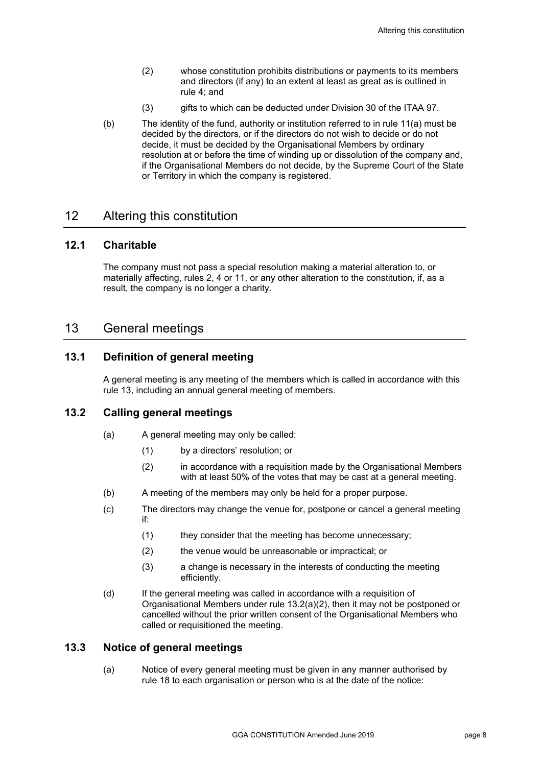- (2) whose constitution prohibits distributions or payments to its members and directors (if any) to an extent at least as great as is outlined in rule 4; and
- (3) gifts to which can be deducted under Division 30 of the ITAA 97.
- (b) The identity of the fund, authority or institution referred to in rule 11(a) must be decided by the directors, or if the directors do not wish to decide or do not decide, it must be decided by the Organisational Members by ordinary resolution at or before the time of winding up or dissolution of the company and, if the Organisational Members do not decide, by the Supreme Court of the State or Territory in which the company is registered.

# 12 Altering this constitution

#### **12.1 Charitable**

The company must not pass a special resolution making a material alteration to, or materially affecting, rules 2, 4 or 11, or any other alteration to the constitution, if, as a result, the company is no longer a charity.

# 13 General meetings

#### **13.1 Definition of general meeting**

A general meeting is any meeting of the members which is called in accordance with this rule 13, including an annual general meeting of members.

#### **13.2 Calling general meetings**

- (a) A general meeting may only be called:
	- (1) by a directors' resolution; or
	- (2) in accordance with a requisition made by the Organisational Members with at least 50% of the votes that may be cast at a general meeting.
- (b) A meeting of the members may only be held for a proper purpose.
- (c) The directors may change the venue for, postpone or cancel a general meeting if:
	- (1) they consider that the meeting has become unnecessary;
	- (2) the venue would be unreasonable or impractical; or
	- (3) a change is necessary in the interests of conducting the meeting efficiently.
- (d) If the general meeting was called in accordance with a requisition of Organisational Members under rule 13.2(a)(2), then it may not be postponed or cancelled without the prior written consent of the Organisational Members who called or requisitioned the meeting.

#### **13.3 Notice of general meetings**

(a) Notice of every general meeting must be given in any manner authorised by rule 18 to each organisation or person who is at the date of the notice: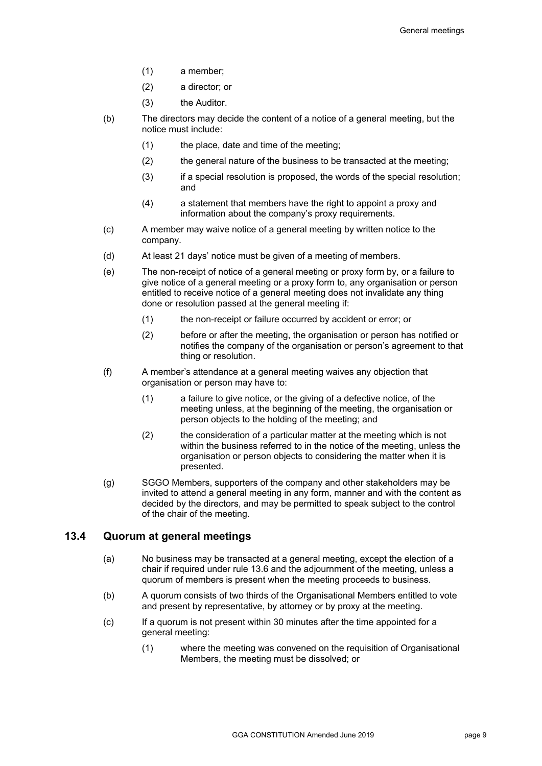- (1) a member;
- (2) a director; or
- (3) the Auditor.
- (b) The directors may decide the content of a notice of a general meeting, but the notice must include:
	- (1) the place, date and time of the meeting;
	- (2) the general nature of the business to be transacted at the meeting;
	- (3) if a special resolution is proposed, the words of the special resolution; and
	- (4) a statement that members have the right to appoint a proxy and information about the company's proxy requirements.
- (c) A member may waive notice of a general meeting by written notice to the company.
- (d) At least 21 days' notice must be given of a meeting of members.
- (e) The non-receipt of notice of a general meeting or proxy form by, or a failure to give notice of a general meeting or a proxy form to, any organisation or person entitled to receive notice of a general meeting does not invalidate any thing done or resolution passed at the general meeting if:
	- (1) the non-receipt or failure occurred by accident or error; or
	- (2) before or after the meeting, the organisation or person has notified or notifies the company of the organisation or person's agreement to that thing or resolution.
- (f) A member's attendance at a general meeting waives any objection that organisation or person may have to:
	- (1) a failure to give notice, or the giving of a defective notice, of the meeting unless, at the beginning of the meeting, the organisation or person objects to the holding of the meeting; and
	- (2) the consideration of a particular matter at the meeting which is not within the business referred to in the notice of the meeting, unless the organisation or person objects to considering the matter when it is presented.
- (g) SGGO Members, supporters of the company and other stakeholders may be invited to attend a general meeting in any form, manner and with the content as decided by the directors, and may be permitted to speak subject to the control of the chair of the meeting.

#### **13.4 Quorum at general meetings**

- (a) No business may be transacted at a general meeting, except the election of a chair if required under rule 13.6 and the adjournment of the meeting, unless a quorum of members is present when the meeting proceeds to business.
- (b) A quorum consists of two thirds of the Organisational Members entitled to vote and present by representative, by attorney or by proxy at the meeting.
- (c) If a quorum is not present within 30 minutes after the time appointed for a general meeting:
	- (1) where the meeting was convened on the requisition of Organisational Members, the meeting must be dissolved; or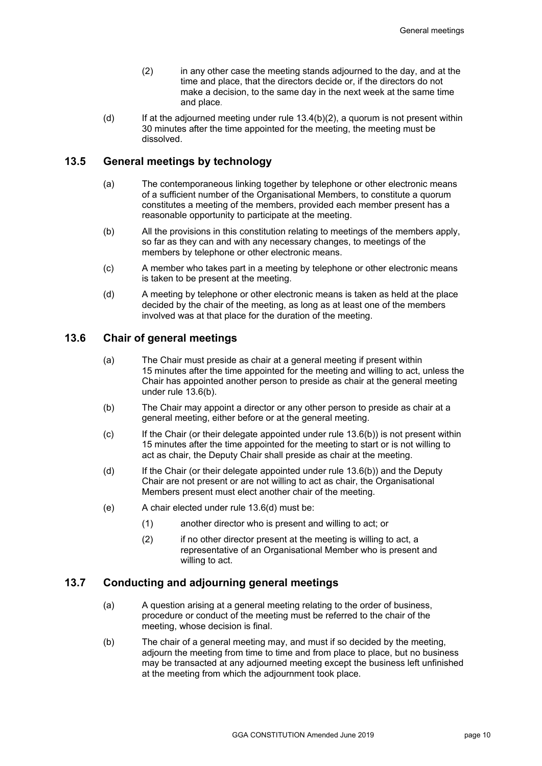- (2) in any other case the meeting stands adjourned to the day, and at the time and place, that the directors decide or, if the directors do not make a decision, to the same day in the next week at the same time and place.
- (d) If at the adjourned meeting under rule  $13.4(b)(2)$ , a quorum is not present within 30 minutes after the time appointed for the meeting, the meeting must be dissolved.

#### **13.5 General meetings by technology**

- (a) The contemporaneous linking together by telephone or other electronic means of a sufficient number of the Organisational Members, to constitute a quorum constitutes a meeting of the members, provided each member present has a reasonable opportunity to participate at the meeting.
- (b) All the provisions in this constitution relating to meetings of the members apply, so far as they can and with any necessary changes, to meetings of the members by telephone or other electronic means.
- (c) A member who takes part in a meeting by telephone or other electronic means is taken to be present at the meeting.
- (d) A meeting by telephone or other electronic means is taken as held at the place decided by the chair of the meeting, as long as at least one of the members involved was at that place for the duration of the meeting.

#### **13.6 Chair of general meetings**

- (a) The Chair must preside as chair at a general meeting if present within 15 minutes after the time appointed for the meeting and willing to act, unless the Chair has appointed another person to preside as chair at the general meeting under rule 13.6(b).
- (b) The Chair may appoint a director or any other person to preside as chair at a general meeting, either before or at the general meeting.
- (c) If the Chair (or their delegate appointed under rule 13.6(b)) is not present within 15 minutes after the time appointed for the meeting to start or is not willing to act as chair, the Deputy Chair shall preside as chair at the meeting.
- (d) If the Chair (or their delegate appointed under rule 13.6(b)) and the Deputy Chair are not present or are not willing to act as chair, the Organisational Members present must elect another chair of the meeting.
- (e) A chair elected under rule 13.6(d) must be:
	- (1) another director who is present and willing to act; or
	- (2) if no other director present at the meeting is willing to act, a representative of an Organisational Member who is present and willing to act.

#### **13.7 Conducting and adjourning general meetings**

- (a) A question arising at a general meeting relating to the order of business, procedure or conduct of the meeting must be referred to the chair of the meeting, whose decision is final.
- (b) The chair of a general meeting may, and must if so decided by the meeting, adjourn the meeting from time to time and from place to place, but no business may be transacted at any adjourned meeting except the business left unfinished at the meeting from which the adjournment took place.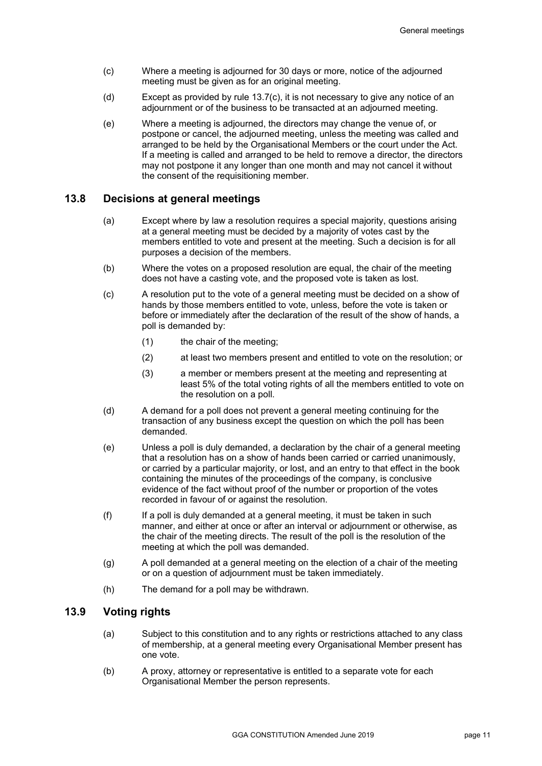- (c) Where a meeting is adjourned for 30 days or more, notice of the adjourned meeting must be given as for an original meeting.
- (d) Except as provided by rule 13.7(c), it is not necessary to give any notice of an adjournment or of the business to be transacted at an adjourned meeting.
- (e) Where a meeting is adjourned, the directors may change the venue of, or postpone or cancel, the adjourned meeting, unless the meeting was called and arranged to be held by the Organisational Members or the court under the Act. If a meeting is called and arranged to be held to remove a director, the directors may not postpone it any longer than one month and may not cancel it without the consent of the requisitioning member.

#### **13.8 Decisions at general meetings**

- (a) Except where by law a resolution requires a special majority, questions arising at a general meeting must be decided by a majority of votes cast by the members entitled to vote and present at the meeting. Such a decision is for all purposes a decision of the members.
- (b) Where the votes on a proposed resolution are equal, the chair of the meeting does not have a casting vote, and the proposed vote is taken as lost.
- (c) A resolution put to the vote of a general meeting must be decided on a show of hands by those members entitled to vote, unless, before the vote is taken or before or immediately after the declaration of the result of the show of hands, a poll is demanded by:
	- (1) the chair of the meeting;
	- (2) at least two members present and entitled to vote on the resolution; or
	- (3) a member or members present at the meeting and representing at least 5% of the total voting rights of all the members entitled to vote on the resolution on a poll.
- (d) A demand for a poll does not prevent a general meeting continuing for the transaction of any business except the question on which the poll has been demanded.
- (e) Unless a poll is duly demanded, a declaration by the chair of a general meeting that a resolution has on a show of hands been carried or carried unanimously, or carried by a particular majority, or lost, and an entry to that effect in the book containing the minutes of the proceedings of the company, is conclusive evidence of the fact without proof of the number or proportion of the votes recorded in favour of or against the resolution.
- (f) If a poll is duly demanded at a general meeting, it must be taken in such manner, and either at once or after an interval or adjournment or otherwise, as the chair of the meeting directs. The result of the poll is the resolution of the meeting at which the poll was demanded.
- (g) A poll demanded at a general meeting on the election of a chair of the meeting or on a question of adjournment must be taken immediately.
- (h) The demand for a poll may be withdrawn.

#### **13.9 Voting rights**

- (a) Subject to this constitution and to any rights or restrictions attached to any class of membership, at a general meeting every Organisational Member present has one vote.
- (b) A proxy, attorney or representative is entitled to a separate vote for each Organisational Member the person represents.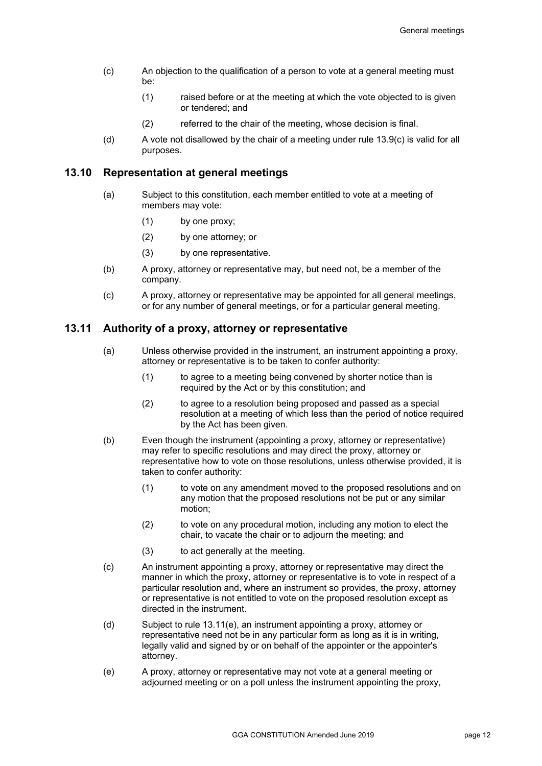- (c) An objection to the qualification of a person to vote at a general meeting must be:
	- (1) raised before or at the meeting at which the vote objected to is given or tendered; and
	- (2) referred to the chair of the meeting, whose decision is final.
- (d) A vote not disallowed by the chair of a meeting under rule 13.9(c) is valid for all purposes.

#### **13.10 Representation at general meetings**

- (a) Subject to this constitution, each member entitled to vote at a meeting of members may vote:
	- (1) by one proxy;
	- (2) by one attorney; or
	- (3) by one representative.
- (b) A proxy, attorney or representative may, but need not, be a member of the company.
- (c) A proxy, attorney or representative may be appointed for all general meetings, or for any number of general meetings, or for a particular general meeting.

#### **13.11 Authority of a proxy, attorney or representative**

- (a) Unless otherwise provided in the instrument, an instrument appointing a proxy, attorney or representative is to be taken to confer authority:
	- (1) to agree to a meeting being convened by shorter notice than is required by the Act or by this constitution; and
	- (2) to agree to a resolution being proposed and passed as a special resolution at a meeting of which less than the period of notice required by the Act has been given.
- (b) Even though the instrument (appointing a proxy, attorney or representative) may refer to specific resolutions and may direct the proxy, attorney or representative how to vote on those resolutions, unless otherwise provided, it is taken to confer authority:
	- (1) to vote on any amendment moved to the proposed resolutions and on any motion that the proposed resolutions not be put or any similar motion;
	- (2) to vote on any procedural motion, including any motion to elect the chair, to vacate the chair or to adjourn the meeting; and
	- (3) to act generally at the meeting.
- (c) An instrument appointing a proxy, attorney or representative may direct the manner in which the proxy, attorney or representative is to vote in respect of a particular resolution and, where an instrument so provides, the proxy, attorney or representative is not entitled to vote on the proposed resolution except as directed in the instrument.
- (d) Subject to rule 13.11(e), an instrument appointing a proxy, attorney or representative need not be in any particular form as long as it is in writing, legally valid and signed by or on behalf of the appointer or the appointer's attorney.
- (e) A proxy, attorney or representative may not vote at a general meeting or adjourned meeting or on a poll unless the instrument appointing the proxy,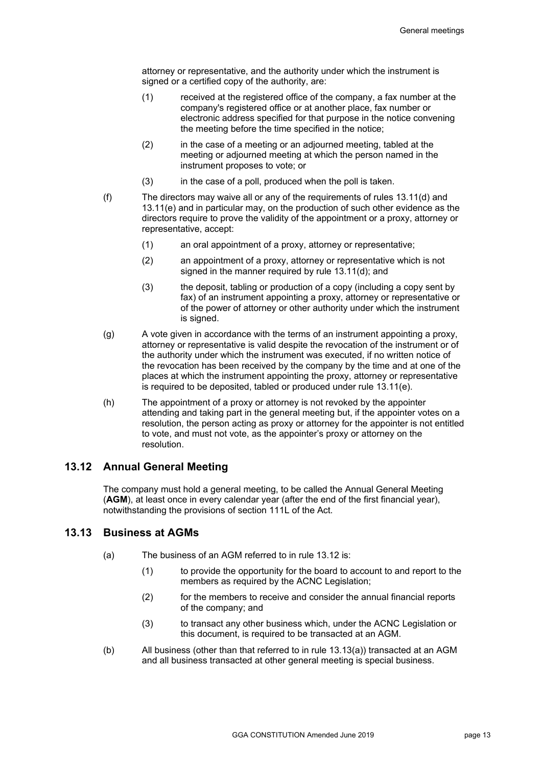attorney or representative, and the authority under which the instrument is signed or a certified copy of the authority, are:

- (1) received at the registered office of the company, a fax number at the company's registered office or at another place, fax number or electronic address specified for that purpose in the notice convening the meeting before the time specified in the notice;
- (2) in the case of a meeting or an adjourned meeting, tabled at the meeting or adjourned meeting at which the person named in the instrument proposes to vote; or
- (3) in the case of a poll, produced when the poll is taken.
- (f) The directors may waive all or any of the requirements of rules 13.11(d) and 13.11(e) and in particular may, on the production of such other evidence as the directors require to prove the validity of the appointment or a proxy, attorney or representative, accept:
	- (1) an oral appointment of a proxy, attorney or representative;
	- (2) an appointment of a proxy, attorney or representative which is not signed in the manner required by rule 13.11(d); and
	- (3) the deposit, tabling or production of a copy (including a copy sent by fax) of an instrument appointing a proxy, attorney or representative or of the power of attorney or other authority under which the instrument is signed.
- (g) A vote given in accordance with the terms of an instrument appointing a proxy, attorney or representative is valid despite the revocation of the instrument or of the authority under which the instrument was executed, if no written notice of the revocation has been received by the company by the time and at one of the places at which the instrument appointing the proxy, attorney or representative is required to be deposited, tabled or produced under rule 13.11(e).
- (h) The appointment of a proxy or attorney is not revoked by the appointer attending and taking part in the general meeting but, if the appointer votes on a resolution, the person acting as proxy or attorney for the appointer is not entitled to vote, and must not vote, as the appointer's proxy or attorney on the resolution.

#### **13.12 Annual General Meeting**

The company must hold a general meeting, to be called the Annual General Meeting (**AGM**), at least once in every calendar year (after the end of the first financial year), notwithstanding the provisions of section 111L of the Act.

#### **13.13 Business at AGMs**

- (a) The business of an AGM referred to in rule 13.12 is:
	- (1) to provide the opportunity for the board to account to and report to the members as required by the ACNC Legislation;
	- (2) for the members to receive and consider the annual financial reports of the company; and
	- (3) to transact any other business which, under the ACNC Legislation or this document, is required to be transacted at an AGM.
- (b) All business (other than that referred to in rule 13.13(a)) transacted at an AGM and all business transacted at other general meeting is special business.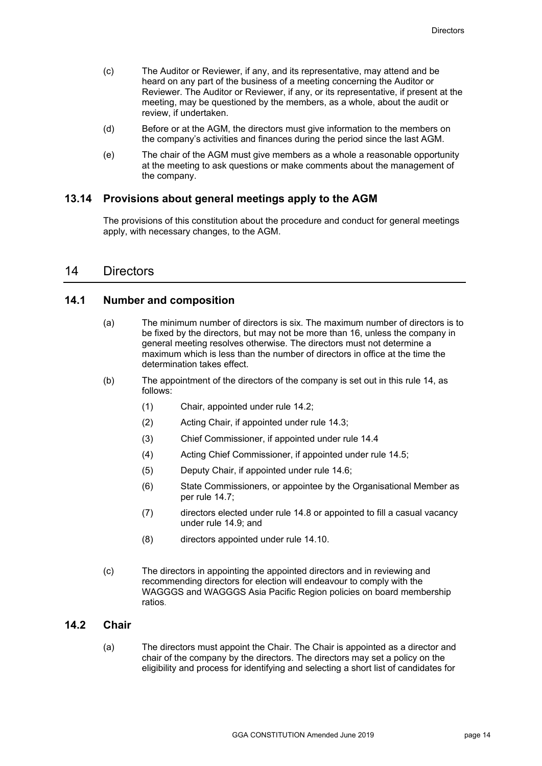- (c) The Auditor or Reviewer, if any, and its representative, may attend and be heard on any part of the business of a meeting concerning the Auditor or Reviewer. The Auditor or Reviewer, if any, or its representative, if present at the meeting, may be questioned by the members, as a whole, about the audit or review, if undertaken.
- (d) Before or at the AGM, the directors must give information to the members on the company's activities and finances during the period since the last AGM.
- (e) The chair of the AGM must give members as a whole a reasonable opportunity at the meeting to ask questions or make comments about the management of the company.

#### **13.14 Provisions about general meetings apply to the AGM**

The provisions of this constitution about the procedure and conduct for general meetings apply, with necessary changes, to the AGM.

### 14 Directors

#### **14.1 Number and composition**

- (a) The minimum number of directors is six. The maximum number of directors is to be fixed by the directors, but may not be more than 16, unless the company in general meeting resolves otherwise. The directors must not determine a maximum which is less than the number of directors in office at the time the determination takes effect.
- (b) The appointment of the directors of the company is set out in this rule 14, as follows:
	- (1) Chair, appointed under rule 14.2;
	- (2) Acting Chair, if appointed under rule 14.3;
	- (3) Chief Commissioner, if appointed under rule 14.4
	- (4) Acting Chief Commissioner, if appointed under rule 14.5;
	- (5) Deputy Chair, if appointed under rule 14.6;
	- (6) State Commissioners, or appointee by the Organisational Member as per rule 14.7;
	- (7) directors elected under rule 14.8 or appointed to fill a casual vacancy under rule 14.9; and
	- (8) directors appointed under rule 14.10.
- (c) The directors in appointing the appointed directors and in reviewing and recommending directors for election will endeavour to comply with the WAGGGS and WAGGGS Asia Pacific Region policies on board membership ratios.

#### **14.2 Chair**

(a) The directors must appoint the Chair. The Chair is appointed as a director and chair of the company by the directors. The directors may set a policy on the eligibility and process for identifying and selecting a short list of candidates for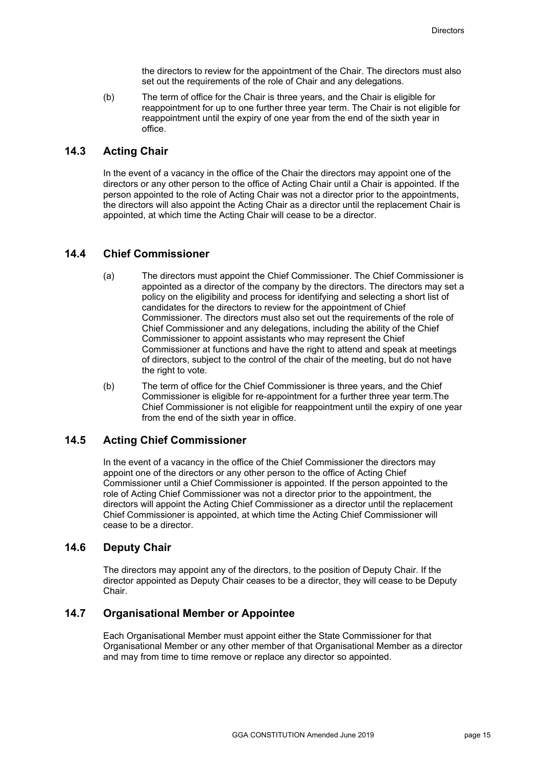the directors to review for the appointment of the Chair. The directors must also set out the requirements of the role of Chair and any delegations.

(b) The term of office for the Chair is three years, and the Chair is eligible for reappointment for up to one further three year term. The Chair is not eligible for reappointment until the expiry of one year from the end of the sixth year in office.

#### **14.3 Acting Chair**

In the event of a vacancy in the office of the Chair the directors may appoint one of the directors or any other person to the office of Acting Chair until a Chair is appointed. If the person appointed to the role of Acting Chair was not a director prior to the appointments, the directors will also appoint the Acting Chair as a director until the replacement Chair is appointed, at which time the Acting Chair will cease to be a director.

### **14.4 Chief Commissioner**

- (a) The directors must appoint the Chief Commissioner. The Chief Commissioner is appointed as a director of the company by the directors. The directors may set a policy on the eligibility and process for identifying and selecting a short list of candidates for the directors to review for the appointment of Chief Commissioner. The directors must also set out the requirements of the role of Chief Commissioner and any delegations, including the ability of the Chief Commissioner to appoint assistants who may represent the Chief Commissioner at functions and have the right to attend and speak at meetings of directors, subject to the control of the chair of the meeting, but do not have the right to vote.
- (b) The term of office for the Chief Commissioner is three years, and the Chief Commissioner is eligible for re-appointment for a further three year term.The Chief Commissioner is not eligible for reappointment until the expiry of one year from the end of the sixth year in office.

#### **14.5 Acting Chief Commissioner**

In the event of a vacancy in the office of the Chief Commissioner the directors may appoint one of the directors or any other person to the office of Acting Chief Commissioner until a Chief Commissioner is appointed. If the person appointed to the role of Acting Chief Commissioner was not a director prior to the appointment, the directors will appoint the Acting Chief Commissioner as a director until the replacement Chief Commissioner is appointed, at which time the Acting Chief Commissioner will cease to be a director.

#### **14.6 Deputy Chair**

The directors may appoint any of the directors, to the position of Deputy Chair. If the director appointed as Deputy Chair ceases to be a director, they will cease to be Deputy Chair.

#### **14.7 Organisational Member or Appointee**

Each Organisational Member must appoint either the State Commissioner for that Organisational Member or any other member of that Organisational Member as a director and may from time to time remove or replace any director so appointed.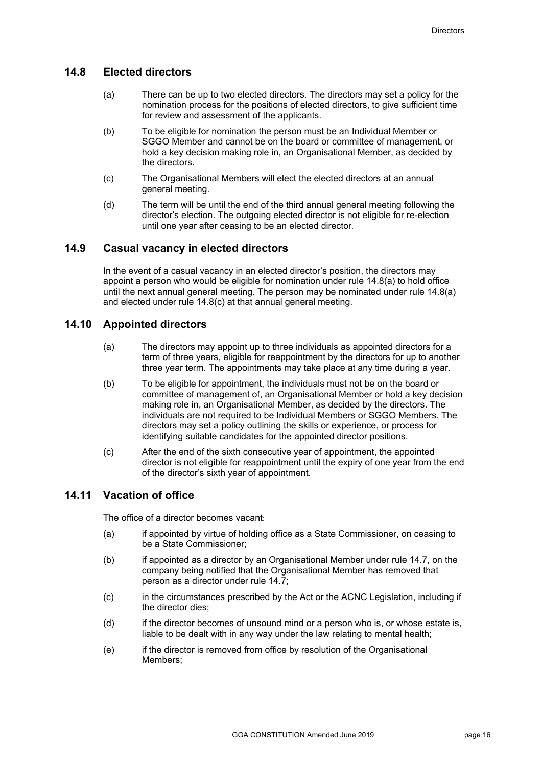#### **14.8 Elected directors**

- (a) There can be up to two elected directors. The directors may set a policy for the nomination process for the positions of elected directors, to give sufficient time for review and assessment of the applicants.
- (b) To be eligible for nomination the person must be an Individual Member or SGGO Member and cannot be on the board or committee of management, or hold a key decision making role in, an Organisational Member, as decided by the directors.
- (c) The Organisational Members will elect the elected directors at an annual general meeting.
- (d) The term will be until the end of the third annual general meeting following the director's election. The outgoing elected director is not eligible for re-election until one year after ceasing to be an elected director.

#### **14.9 Casual vacancy in elected directors**

In the event of a casual vacancy in an elected director's position, the directors may appoint a person who would be eligible for nomination under rule 14.8(a) to hold office until the next annual general meeting. The person may be nominated under rule 14.8(a) and elected under rule 14.8(c) at that annual general meeting.

#### **14.10 Appointed directors**

- (a) The directors may appoint up to three individuals as appointed directors for a term of three years, eligible for reappointment by the directors for up to another three year term. The appointments may take place at any time during a year.
- (b) To be eligible for appointment, the individuals must not be on the board or committee of management of, an Organisational Member or hold a key decision making role in, an Organisational Member, as decided by the directors. The individuals are not required to be Individual Members or SGGO Members. The directors may set a policy outlining the skills or experience, or process for identifying suitable candidates for the appointed director positions.
- (c) After the end of the sixth consecutive year of appointment, the appointed director is not eligible for reappointment until the expiry of one year from the end of the director's sixth year of appointment.

## **14.11 Vacation of office**

The office of a director becomes vacant:

- (a) if appointed by virtue of holding office as a State Commissioner, on ceasing to be a State Commissioner;
- (b) if appointed as a director by an Organisational Member under rule 14.7, on the company being notified that the Organisational Member has removed that person as a director under rule 14.7;
- (c) in the circumstances prescribed by the Act or the ACNC Legislation, including if the director dies;
- (d) if the director becomes of unsound mind or a person who is, or whose estate is, liable to be dealt with in any way under the law relating to mental health;
- (e) if the director is removed from office by resolution of the Organisational Members;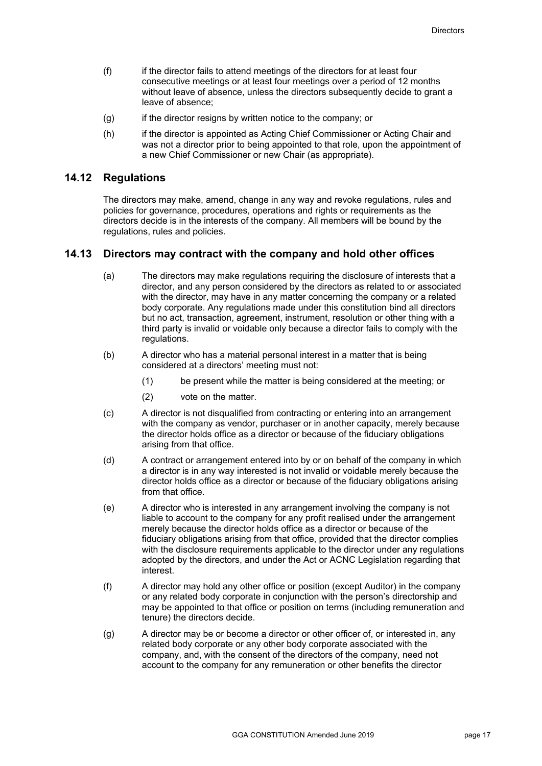- (f) if the director fails to attend meetings of the directors for at least four consecutive meetings or at least four meetings over a period of 12 months without leave of absence, unless the directors subsequently decide to grant a leave of absence;
- (g) if the director resigns by written notice to the company; or
- (h) if the director is appointed as Acting Chief Commissioner or Acting Chair and was not a director prior to being appointed to that role, upon the appointment of a new Chief Commissioner or new Chair (as appropriate).

#### **14.12 Regulations**

The directors may make, amend, change in any way and revoke regulations, rules and policies for governance, procedures, operations and rights or requirements as the directors decide is in the interests of the company. All members will be bound by the regulations, rules and policies.

#### **14.13 Directors may contract with the company and hold other offices**

- (a) The directors may make regulations requiring the disclosure of interests that a director, and any person considered by the directors as related to or associated with the director, may have in any matter concerning the company or a related body corporate. Any regulations made under this constitution bind all directors but no act, transaction, agreement, instrument, resolution or other thing with a third party is invalid or voidable only because a director fails to comply with the regulations.
- (b) A director who has a material personal interest in a matter that is being considered at a directors' meeting must not:
	- (1) be present while the matter is being considered at the meeting; or
	- (2) vote on the matter.
- (c) A director is not disqualified from contracting or entering into an arrangement with the company as vendor, purchaser or in another capacity, merely because the director holds office as a director or because of the fiduciary obligations arising from that office.
- (d) A contract or arrangement entered into by or on behalf of the company in which a director is in any way interested is not invalid or voidable merely because the director holds office as a director or because of the fiduciary obligations arising from that office.
- (e) A director who is interested in any arrangement involving the company is not liable to account to the company for any profit realised under the arrangement merely because the director holds office as a director or because of the fiduciary obligations arising from that office, provided that the director complies with the disclosure requirements applicable to the director under any regulations adopted by the directors, and under the Act or ACNC Legislation regarding that interest.
- (f) A director may hold any other office or position (except Auditor) in the company or any related body corporate in conjunction with the person's directorship and may be appointed to that office or position on terms (including remuneration and tenure) the directors decide.
- (g) A director may be or become a director or other officer of, or interested in, any related body corporate or any other body corporate associated with the company, and, with the consent of the directors of the company, need not account to the company for any remuneration or other benefits the director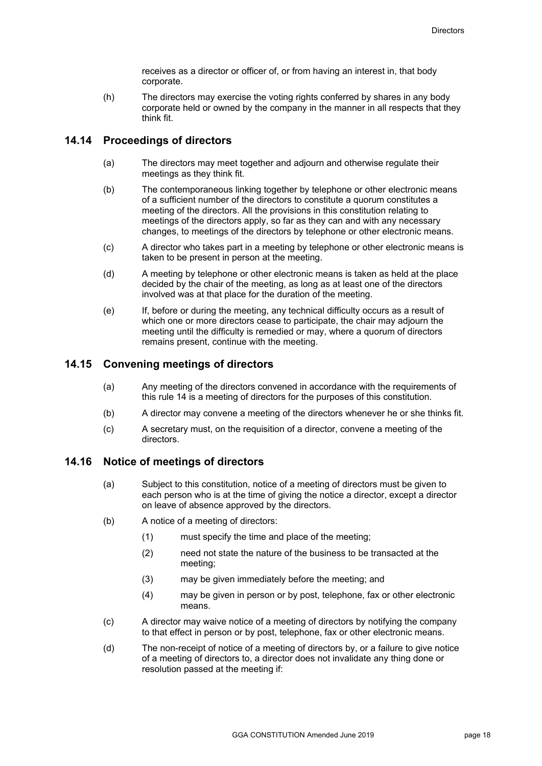receives as a director or officer of, or from having an interest in, that body corporate.

(h) The directors may exercise the voting rights conferred by shares in any body corporate held or owned by the company in the manner in all respects that they think fit.

#### **14.14 Proceedings of directors**

- (a) The directors may meet together and adjourn and otherwise regulate their meetings as they think fit.
- (b) The contemporaneous linking together by telephone or other electronic means of a sufficient number of the directors to constitute a quorum constitutes a meeting of the directors. All the provisions in this constitution relating to meetings of the directors apply, so far as they can and with any necessary changes, to meetings of the directors by telephone or other electronic means.
- (c) A director who takes part in a meeting by telephone or other electronic means is taken to be present in person at the meeting.
- (d) A meeting by telephone or other electronic means is taken as held at the place decided by the chair of the meeting, as long as at least one of the directors involved was at that place for the duration of the meeting.
- (e) If, before or during the meeting, any technical difficulty occurs as a result of which one or more directors cease to participate, the chair may adjourn the meeting until the difficulty is remedied or may, where a quorum of directors remains present, continue with the meeting.

#### **14.15 Convening meetings of directors**

- (a) Any meeting of the directors convened in accordance with the requirements of this rule 14 is a meeting of directors for the purposes of this constitution.
- (b) A director may convene a meeting of the directors whenever he or she thinks fit.
- (c) A secretary must, on the requisition of a director, convene a meeting of the directors.

#### **14.16 Notice of meetings of directors**

- (a) Subject to this constitution, notice of a meeting of directors must be given to each person who is at the time of giving the notice a director, except a director on leave of absence approved by the directors.
- (b) A notice of a meeting of directors:
	- (1) must specify the time and place of the meeting;
	- (2) need not state the nature of the business to be transacted at the meeting;
	- (3) may be given immediately before the meeting; and
	- (4) may be given in person or by post, telephone, fax or other electronic means.
- (c) A director may waive notice of a meeting of directors by notifying the company to that effect in person or by post, telephone, fax or other electronic means.
- (d) The non-receipt of notice of a meeting of directors by, or a failure to give notice of a meeting of directors to, a director does not invalidate any thing done or resolution passed at the meeting if: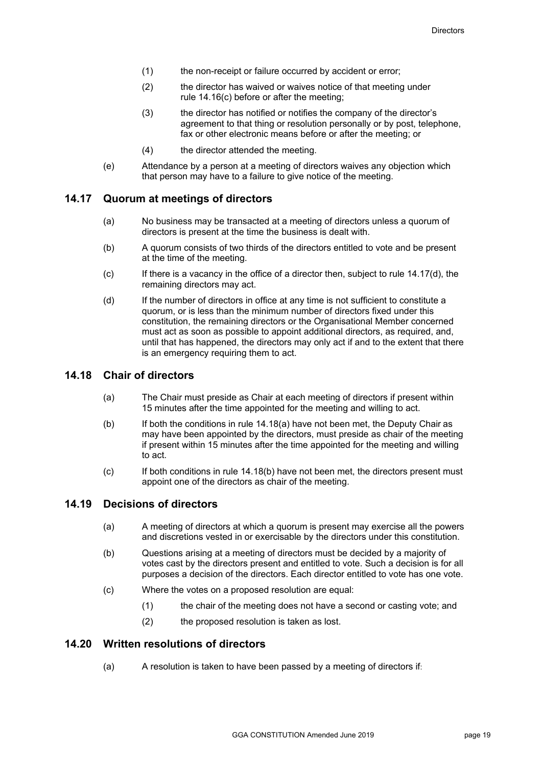- (1) the non-receipt or failure occurred by accident or error;
- (2) the director has waived or waives notice of that meeting under rule 14.16(c) before or after the meeting;
- (3) the director has notified or notifies the company of the director's agreement to that thing or resolution personally or by post, telephone, fax or other electronic means before or after the meeting; or
- (4) the director attended the meeting.
- (e) Attendance by a person at a meeting of directors waives any objection which that person may have to a failure to give notice of the meeting.

#### **14.17 Quorum at meetings of directors**

- (a) No business may be transacted at a meeting of directors unless a quorum of directors is present at the time the business is dealt with.
- (b) A quorum consists of two thirds of the directors entitled to vote and be present at the time of the meeting.
- (c) If there is a vacancy in the office of a director then, subject to rule 14.17(d), the remaining directors may act.
- (d) If the number of directors in office at any time is not sufficient to constitute a quorum, or is less than the minimum number of directors fixed under this constitution, the remaining directors or the Organisational Member concerned must act as soon as possible to appoint additional directors, as required, and, until that has happened, the directors may only act if and to the extent that there is an emergency requiring them to act.

#### **14.18 Chair of directors**

- (a) The Chair must preside as Chair at each meeting of directors if present within 15 minutes after the time appointed for the meeting and willing to act.
- (b) If both the conditions in rule 14.18(a) have not been met, the Deputy Chair as may have been appointed by the directors, must preside as chair of the meeting if present within 15 minutes after the time appointed for the meeting and willing to act.
- (c) If both conditions in rule 14.18(b) have not been met, the directors present must appoint one of the directors as chair of the meeting.

#### **14.19 Decisions of directors**

- (a) A meeting of directors at which a quorum is present may exercise all the powers and discretions vested in or exercisable by the directors under this constitution.
- (b) Questions arising at a meeting of directors must be decided by a majority of votes cast by the directors present and entitled to vote. Such a decision is for all purposes a decision of the directors. Each director entitled to vote has one vote.
- (c) Where the votes on a proposed resolution are equal:
	- (1) the chair of the meeting does not have a second or casting vote; and
	- (2) the proposed resolution is taken as lost.

#### **14.20 Written resolutions of directors**

(a) A resolution is taken to have been passed by a meeting of directors if: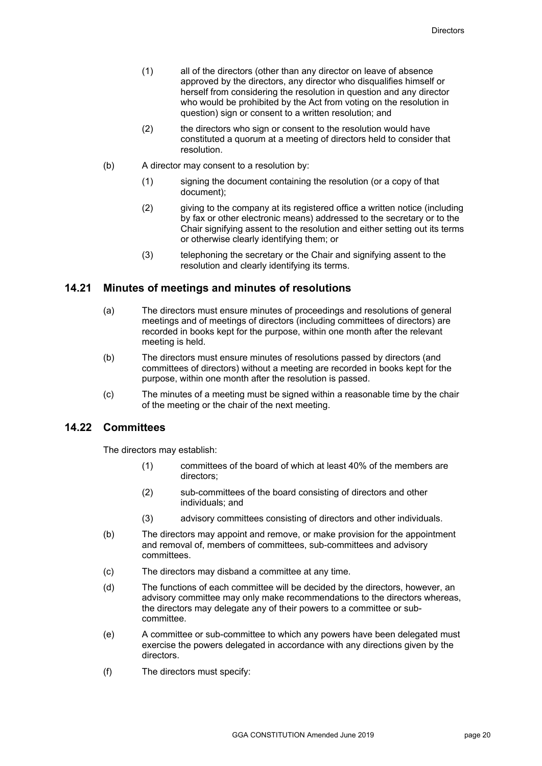- (1) all of the directors (other than any director on leave of absence approved by the directors, any director who disqualifies himself or herself from considering the resolution in question and any director who would be prohibited by the Act from voting on the resolution in question) sign or consent to a written resolution; and
- (2) the directors who sign or consent to the resolution would have constituted a quorum at a meeting of directors held to consider that resolution.
- (b) A director may consent to a resolution by:
	- (1) signing the document containing the resolution (or a copy of that document);
	- (2) giving to the company at its registered office a written notice (including by fax or other electronic means) addressed to the secretary or to the Chair signifying assent to the resolution and either setting out its terms or otherwise clearly identifying them; or
	- (3) telephoning the secretary or the Chair and signifying assent to the resolution and clearly identifying its terms.

#### **14.21 Minutes of meetings and minutes of resolutions**

- (a) The directors must ensure minutes of proceedings and resolutions of general meetings and of meetings of directors (including committees of directors) are recorded in books kept for the purpose, within one month after the relevant meeting is held.
- (b) The directors must ensure minutes of resolutions passed by directors (and committees of directors) without a meeting are recorded in books kept for the purpose, within one month after the resolution is passed.
- (c) The minutes of a meeting must be signed within a reasonable time by the chair of the meeting or the chair of the next meeting.

#### **14.22 Committees**

The directors may establish:

- (1) committees of the board of which at least 40% of the members are directors;
- (2) sub-committees of the board consisting of directors and other individuals; and
- (3) advisory committees consisting of directors and other individuals.
- (b) The directors may appoint and remove, or make provision for the appointment and removal of, members of committees, sub-committees and advisory committees.
- (c) The directors may disband a committee at any time.
- (d) The functions of each committee will be decided by the directors, however, an advisory committee may only make recommendations to the directors whereas, the directors may delegate any of their powers to a committee or subcommittee.
- (e) A committee or sub-committee to which any powers have been delegated must exercise the powers delegated in accordance with any directions given by the directors.
- (f) The directors must specify: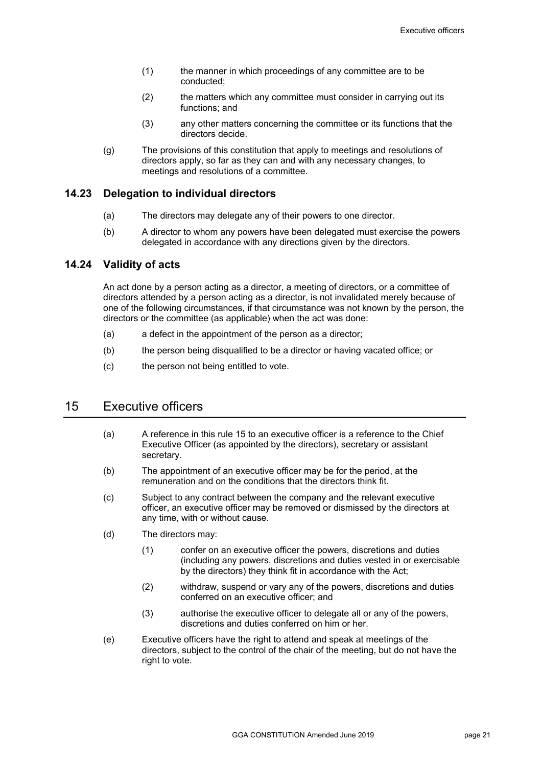- (1) the manner in which proceedings of any committee are to be conducted;
- (2) the matters which any committee must consider in carrying out its functions; and
- (3) any other matters concerning the committee or its functions that the directors decide.
- (g) The provisions of this constitution that apply to meetings and resolutions of directors apply, so far as they can and with any necessary changes, to meetings and resolutions of a committee.

#### **14.23 Delegation to individual directors**

- (a) The directors may delegate any of their powers to one director.
- (b) A director to whom any powers have been delegated must exercise the powers delegated in accordance with any directions given by the directors.

#### **14.24 Validity of acts**

An act done by a person acting as a director, a meeting of directors, or a committee of directors attended by a person acting as a director, is not invalidated merely because of one of the following circumstances, if that circumstance was not known by the person, the directors or the committee (as applicable) when the act was done:

- (a) a defect in the appointment of the person as a director;
- (b) the person being disqualified to be a director or having vacated office; or
- (c) the person not being entitled to vote.

# 15 Executive officers

- (a) A reference in this rule 15 to an executive officer is a reference to the Chief Executive Officer (as appointed by the directors), secretary or assistant secretary.
- (b) The appointment of an executive officer may be for the period, at the remuneration and on the conditions that the directors think fit.
- (c) Subject to any contract between the company and the relevant executive officer, an executive officer may be removed or dismissed by the directors at any time, with or without cause.
- (d) The directors may:
	- (1) confer on an executive officer the powers, discretions and duties (including any powers, discretions and duties vested in or exercisable by the directors) they think fit in accordance with the Act;
	- (2) withdraw, suspend or vary any of the powers, discretions and duties conferred on an executive officer; and
	- (3) authorise the executive officer to delegate all or any of the powers, discretions and duties conferred on him or her.
- (e) Executive officers have the right to attend and speak at meetings of the directors, subject to the control of the chair of the meeting, but do not have the right to vote.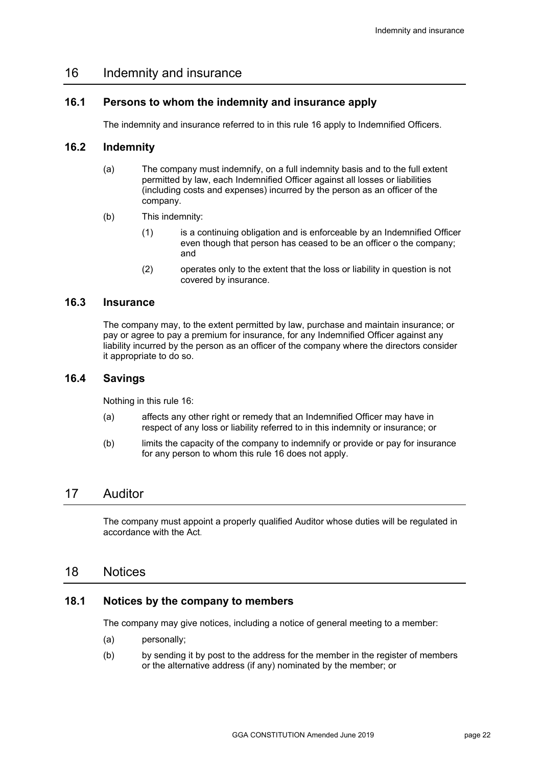# 16 Indemnity and insurance

#### **16.1 Persons to whom the indemnity and insurance apply**

The indemnity and insurance referred to in this rule 16 apply to Indemnified Officers.

#### **16.2 Indemnity**

- (a) The company must indemnify, on a full indemnity basis and to the full extent permitted by law, each Indemnified Officer against all losses or liabilities (including costs and expenses) incurred by the person as an officer of the company.
- (b) This indemnity:
	- (1) is a continuing obligation and is enforceable by an Indemnified Officer even though that person has ceased to be an officer o the company; and
	- (2) operates only to the extent that the loss or liability in question is not covered by insurance.

#### **16.3 Insurance**

The company may, to the extent permitted by law, purchase and maintain insurance; or pay or agree to pay a premium for insurance, for any Indemnified Officer against any liability incurred by the person as an officer of the company where the directors consider it appropriate to do so.

#### **16.4 Savings**

Nothing in this rule 16:

- (a) affects any other right or remedy that an Indemnified Officer may have in respect of any loss or liability referred to in this indemnity or insurance; or
- (b) limits the capacity of the company to indemnify or provide or pay for insurance for any person to whom this rule 16 does not apply.

# 17 Auditor

The company must appoint a properly qualified Auditor whose duties will be regulated in accordance with the Act.

#### 18 Notices

#### **18.1 Notices by the company to members**

The company may give notices, including a notice of general meeting to a member:

- (a) personally;
- (b) by sending it by post to the address for the member in the register of members or the alternative address (if any) nominated by the member; or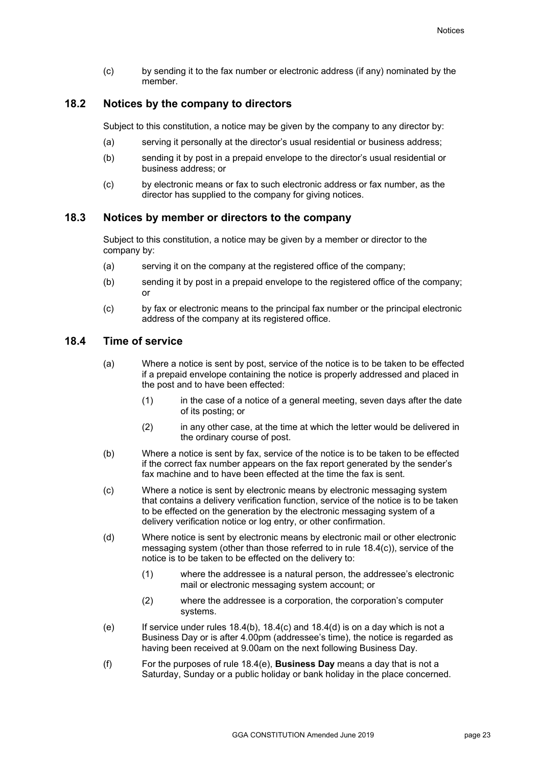(c) by sending it to the fax number or electronic address (if any) nominated by the member.

#### **18.2 Notices by the company to directors**

Subject to this constitution, a notice may be given by the company to any director by:

- (a) serving it personally at the director's usual residential or business address;
- (b) sending it by post in a prepaid envelope to the director's usual residential or business address; or
- (c) by electronic means or fax to such electronic address or fax number, as the director has supplied to the company for giving notices.

#### **18.3 Notices by member or directors to the company**

Subject to this constitution, a notice may be given by a member or director to the company by:

- (a) serving it on the company at the registered office of the company;
- (b) sending it by post in a prepaid envelope to the registered office of the company; or
- (c) by fax or electronic means to the principal fax number or the principal electronic address of the company at its registered office.

#### **18.4 Time of service**

- (a) Where a notice is sent by post, service of the notice is to be taken to be effected if a prepaid envelope containing the notice is properly addressed and placed in the post and to have been effected:
	- (1) in the case of a notice of a general meeting, seven days after the date of its posting; or
	- (2) in any other case, at the time at which the letter would be delivered in the ordinary course of post.
- (b) Where a notice is sent by fax, service of the notice is to be taken to be effected if the correct fax number appears on the fax report generated by the sender's fax machine and to have been effected at the time the fax is sent.
- (c) Where a notice is sent by electronic means by electronic messaging system that contains a delivery verification function, service of the notice is to be taken to be effected on the generation by the electronic messaging system of a delivery verification notice or log entry, or other confirmation.
- (d) Where notice is sent by electronic means by electronic mail or other electronic messaging system (other than those referred to in rule 18.4(c)), service of the notice is to be taken to be effected on the delivery to:
	- (1) where the addressee is a natural person, the addressee's electronic mail or electronic messaging system account; or
	- (2) where the addressee is a corporation, the corporation's computer systems.
- (e) If service under rules  $18.4(b)$ ,  $18.4(c)$  and  $18.4(d)$  is on a day which is not a Business Day or is after 4.00pm (addressee's time), the notice is regarded as having been received at 9.00am on the next following Business Day.
- (f) For the purposes of rule 18.4(e), **Business Day** means a day that is not a Saturday, Sunday or a public holiday or bank holiday in the place concerned.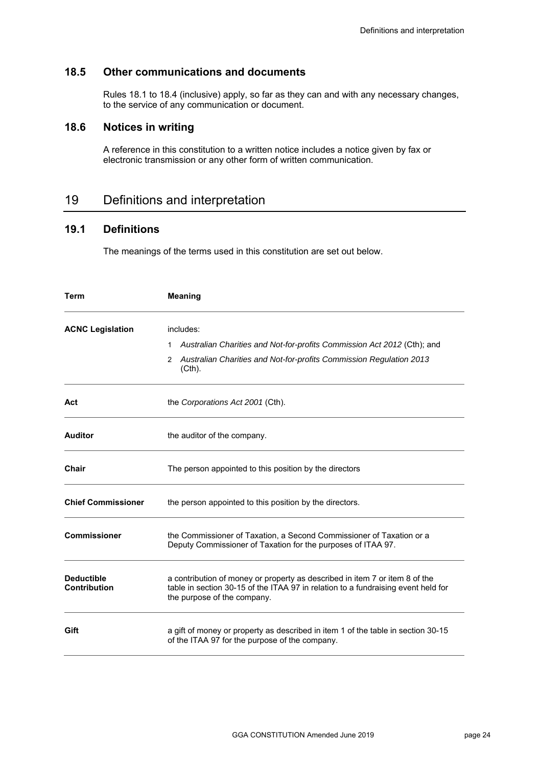### **18.5 Other communications and documents**

Rules 18.1 to 18.4 (inclusive) apply, so far as they can and with any necessary changes, to the service of any communication or document.

#### **18.6 Notices in writing**

A reference in this constitution to a written notice includes a notice given by fax or electronic transmission or any other form of written communication.

# 19 Definitions and interpretation

#### **19.1 Definitions**

The meanings of the terms used in this constitution are set out below.

| Term                                     | <b>Meaning</b>                                                                                                                                                                                  |  |  |
|------------------------------------------|-------------------------------------------------------------------------------------------------------------------------------------------------------------------------------------------------|--|--|
| <b>ACNC Legislation</b>                  | includes:<br>Australian Charities and Not-for-profits Commission Act 2012 (Cth); and<br>1<br>Australian Charities and Not-for-profits Commission Regulation 2013<br>2<br>$(Cth)$ .              |  |  |
| Act                                      | the Corporations Act 2001 (Cth).                                                                                                                                                                |  |  |
| <b>Auditor</b>                           | the auditor of the company.                                                                                                                                                                     |  |  |
| Chair                                    | The person appointed to this position by the directors                                                                                                                                          |  |  |
| <b>Chief Commissioner</b>                | the person appointed to this position by the directors.                                                                                                                                         |  |  |
| <b>Commissioner</b>                      | the Commissioner of Taxation, a Second Commissioner of Taxation or a<br>Deputy Commissioner of Taxation for the purposes of ITAA 97.                                                            |  |  |
| <b>Deductible</b><br><b>Contribution</b> | a contribution of money or property as described in item 7 or item 8 of the<br>table in section 30-15 of the ITAA 97 in relation to a fundraising event held for<br>the purpose of the company. |  |  |
| Gift                                     | a gift of money or property as described in item 1 of the table in section 30-15<br>of the ITAA 97 for the purpose of the company.                                                              |  |  |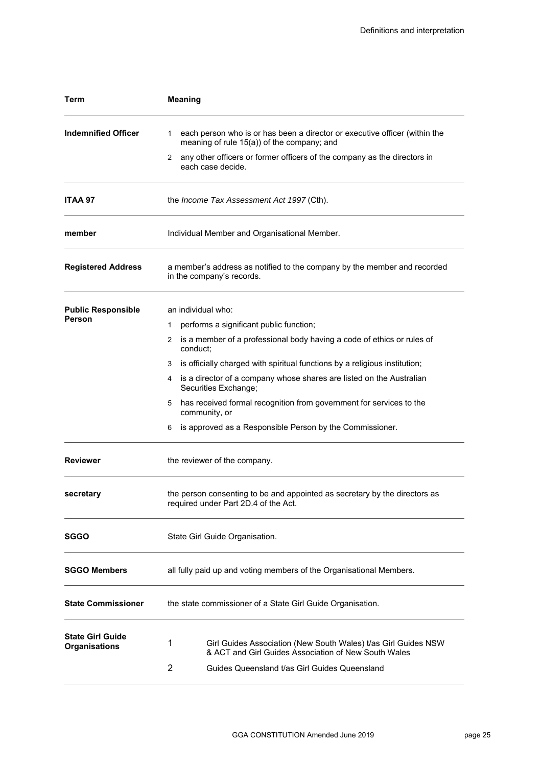| Term                                            | <b>Meaning</b>                                                                                                                 |  |  |  |
|-------------------------------------------------|--------------------------------------------------------------------------------------------------------------------------------|--|--|--|
| <b>Indemnified Officer</b>                      | each person who is or has been a director or executive officer (within the<br>1.<br>meaning of rule 15(a)) of the company; and |  |  |  |
|                                                 | any other officers or former officers of the company as the directors in<br>2<br>each case decide.                             |  |  |  |
| <b>ITAA 97</b>                                  | the Income Tax Assessment Act 1997 (Cth).                                                                                      |  |  |  |
| member                                          | Individual Member and Organisational Member.                                                                                   |  |  |  |
| <b>Registered Address</b>                       | a member's address as notified to the company by the member and recorded<br>in the company's records.                          |  |  |  |
| <b>Public Responsible</b>                       | an individual who:                                                                                                             |  |  |  |
| Person                                          | performs a significant public function;<br>1                                                                                   |  |  |  |
|                                                 | 2 is a member of a professional body having a code of ethics or rules of<br>conduct;                                           |  |  |  |
|                                                 | is officially charged with spiritual functions by a religious institution;<br>3                                                |  |  |  |
|                                                 | is a director of a company whose shares are listed on the Australian<br>4<br>Securities Exchange;                              |  |  |  |
|                                                 | has received formal recognition from government for services to the<br>5<br>community, or                                      |  |  |  |
|                                                 | is approved as a Responsible Person by the Commissioner.<br>6                                                                  |  |  |  |
| <b>Reviewer</b>                                 | the reviewer of the company.                                                                                                   |  |  |  |
| secretary                                       | the person consenting to be and appointed as secretary by the directors as<br>required under Part 2D.4 of the Act.             |  |  |  |
| <b>SGGO</b>                                     | State Girl Guide Organisation.                                                                                                 |  |  |  |
| <b>SGGO Members</b>                             | all fully paid up and voting members of the Organisational Members.                                                            |  |  |  |
| <b>State Commissioner</b>                       | the state commissioner of a State Girl Guide Organisation.                                                                     |  |  |  |
| <b>State Girl Guide</b><br><b>Organisations</b> | 1<br>Girl Guides Association (New South Wales) t/as Girl Guides NSW<br>& ACT and Girl Guides Association of New South Wales    |  |  |  |
|                                                 | 2<br>Guides Queensland t/as Girl Guides Queensland                                                                             |  |  |  |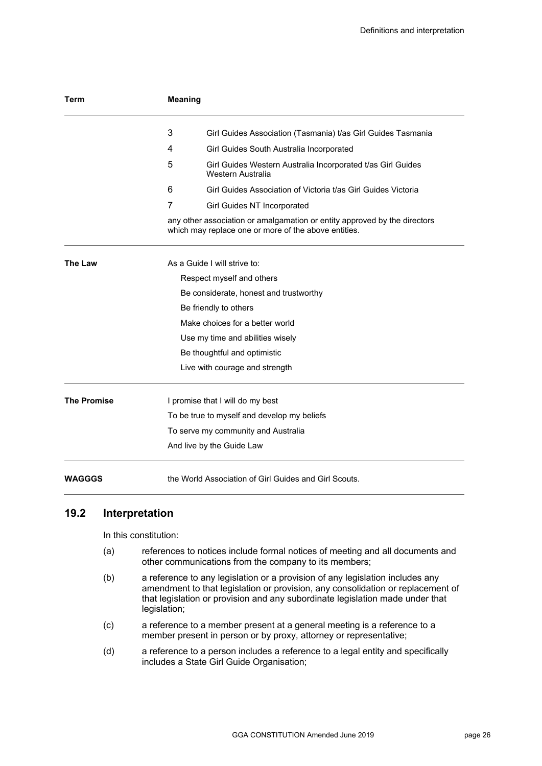| Term               | <b>Meaning</b>                                                                                                                    |                                                                                  |  |  |  |
|--------------------|-----------------------------------------------------------------------------------------------------------------------------------|----------------------------------------------------------------------------------|--|--|--|
|                    | 3                                                                                                                                 | Girl Guides Association (Tasmania) t/as Girl Guides Tasmania                     |  |  |  |
|                    | 4                                                                                                                                 | Girl Guides South Australia Incorporated                                         |  |  |  |
|                    | 5                                                                                                                                 | Girl Guides Western Australia Incorporated t/as Girl Guides<br>Western Australia |  |  |  |
|                    | 6                                                                                                                                 | Girl Guides Association of Victoria t/as Girl Guides Victoria                    |  |  |  |
|                    | 7                                                                                                                                 | Girl Guides NT Incorporated                                                      |  |  |  |
|                    | any other association or amalgamation or entity approved by the directors<br>which may replace one or more of the above entities. |                                                                                  |  |  |  |
| The Law            | As a Guide I will strive to:                                                                                                      |                                                                                  |  |  |  |
|                    | Respect myself and others                                                                                                         |                                                                                  |  |  |  |
|                    | Be considerate, honest and trustworthy                                                                                            |                                                                                  |  |  |  |
|                    | Be friendly to others                                                                                                             |                                                                                  |  |  |  |
|                    | Make choices for a better world                                                                                                   |                                                                                  |  |  |  |
|                    | Use my time and abilities wisely                                                                                                  |                                                                                  |  |  |  |
|                    | Be thoughtful and optimistic                                                                                                      |                                                                                  |  |  |  |
|                    |                                                                                                                                   | Live with courage and strength                                                   |  |  |  |
| <b>The Promise</b> | I promise that I will do my best                                                                                                  |                                                                                  |  |  |  |
|                    |                                                                                                                                   | To be true to myself and develop my beliefs                                      |  |  |  |
|                    |                                                                                                                                   | To serve my community and Australia                                              |  |  |  |
|                    |                                                                                                                                   | And live by the Guide Law                                                        |  |  |  |
| <b>WAGGGS</b>      |                                                                                                                                   | the World Association of Girl Guides and Girl Scouts.                            |  |  |  |

# **19.2 Interpretation**

In this constitution:

- (a) references to notices include formal notices of meeting and all documents and other communications from the company to its members;
- (b) a reference to any legislation or a provision of any legislation includes any amendment to that legislation or provision, any consolidation or replacement of that legislation or provision and any subordinate legislation made under that legislation;
- (c) a reference to a member present at a general meeting is a reference to a member present in person or by proxy, attorney or representative;
- (d) a reference to a person includes a reference to a legal entity and specifically includes a State Girl Guide Organisation;